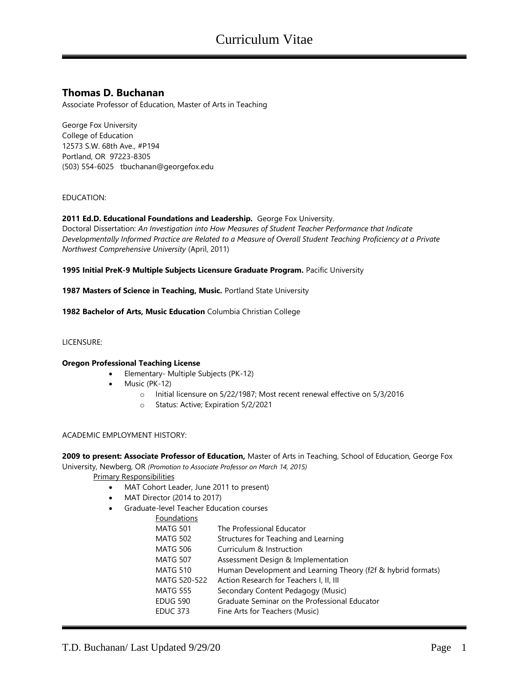# **Thomas D. Buchanan**

Associate Professor of Education, Master of Arts in Teaching

George Fox University College of Education 12573 S.W. 68th Ave., #P194 Portland, OR 97223-8305 (503) 554-6025 tbuchanan@georgefox.edu

# EDUCATION:

#### **2011 Ed.D. Educational Foundations and Leadership.** George Fox University.

Doctoral Dissertation: *An Investigation into How Measures of Student Teacher Performance that Indicate Developmentally Informed Practice are Related to a Measure of Overall Student Teaching Proficiency at a Private Northwest Comprehensive University* (April, 2011)

**1995 Initial PreK-9 Multiple Subjects Licensure Graduate Program.** Pacific University

**1987 Masters of Science in Teaching, Music.** Portland State University

**1982 Bachelor of Arts, Music Education** Columbia Christian College

#### LICENSURE:

#### **Oregon Professional Teaching License**

- Elementary- Multiple Subjects (PK-12)
- Music (PK-12)
	- o Initial licensure on 5/22/1987; Most recent renewal effective on 5/3/2016
	- o Status: Active; Expiration 5/2/2021

#### ACADEMIC EMPLOYMENT HISTORY:

**2009 to present: Associate Professor of Education,** Master of Arts in Teaching, School of Education, George Fox University, Newberg, OR *(Promotion to Associate Professor on March 14, 2015)*

Primary Responsibilities

- MAT Cohort Leader, June 2011 to present)
- MAT Director (2014 to 2017)
- Graduate-level Teacher Education courses
	- Eo

| Foundations     |                                                              |
|-----------------|--------------------------------------------------------------|
| <b>MATG 501</b> | The Professional Educator                                    |
| MATG 502        | Structures for Teaching and Learning                         |
| MATG 506        | Curriculum & Instruction                                     |
| <b>MATG 507</b> | Assessment Design & Implementation                           |
| <b>MATG 510</b> | Human Development and Learning Theory (f2f & hybrid formats) |
| MATG 520-522    | Action Research for Teachers I, II, III                      |
| <b>MATG 555</b> | Secondary Content Pedagogy (Music)                           |
| EDUG 590        | Graduate Seminar on the Professional Educator                |
| EDUC 373        | Fine Arts for Teachers (Music)                               |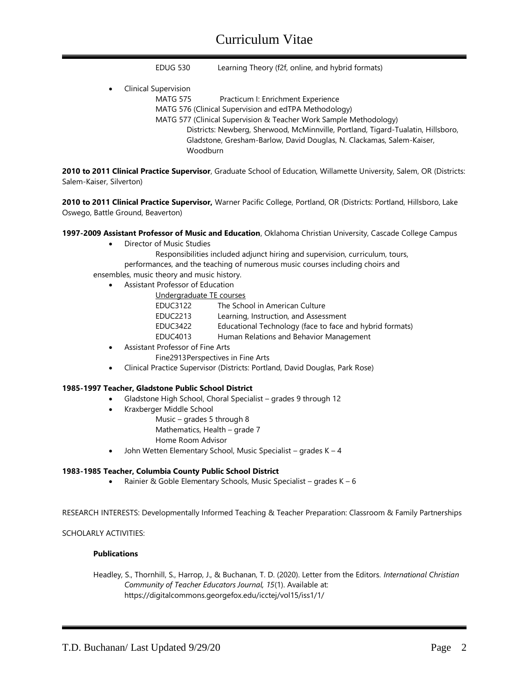# Curriculum Vitae

EDUG 530 Learning Theory (f2f, online, and hybrid formats)

• Clinical Supervision

MATG 575 Practicum I: Enrichment Experience

MATG 576 (Clinical Supervision and edTPA Methodology)

MATG 577 (Clinical Supervision & Teacher Work Sample Methodology) Districts: Newberg, Sherwood, McMinnville, Portland, Tigard-Tualatin, Hillsboro,

Gladstone, Gresham-Barlow, David Douglas, N. Clackamas, Salem-Kaiser, Woodburn

**2010 to 2011 Clinical Practice Supervisor**, Graduate School of Education, Willamette University, Salem, OR (Districts: Salem-Kaiser, Silverton)

**2010 to 2011 Clinical Practice Supervisor,** Warner Pacific College, Portland, OR (Districts: Portland, Hillsboro, Lake Oswego, Battle Ground, Beaverton)

**1997-2009 Assistant Professor of Music and Education**, Oklahoma Christian University, Cascade College Campus

- Director of Music Studies
	- Responsibilities included adjunct hiring and supervision, curriculum, tours,
	- performances, and the teaching of numerous music courses including choirs and

ensembles, music theory and music history.

- Assistant Professor of Education
	- Undergraduate TE courses
		- EDUC3122 The School in American Culture
		- EDUC2213 Learning, Instruction, and Assessment
		- EDUC3422 Educational Technology (face to face and hybrid formats)
		- EDUC4013 Human Relations and Behavior Management
- Assistant Professor of Fine Arts
	- Fine2913Perspectives in Fine Arts
- Clinical Practice Supervisor (Districts: Portland, David Douglas, Park Rose)

#### **1985-1997 Teacher, Gladstone Public School District**

- Gladstone High School, Choral Specialist grades 9 through 12
- Kraxberger Middle School
	- Music grades 5 through 8
	- Mathematics, Health grade 7
	- Home Room Advisor
- John Wetten Elementary School, Music Specialist grades  $K 4$

#### **1983-1985 Teacher, Columbia County Public School District**

• Rainier & Goble Elementary Schools, Music Specialist – grades  $K - 6$ 

RESEARCH INTERESTS: Developmentally Informed Teaching & Teacher Preparation: Classroom & Family Partnerships

#### SCHOLARLY ACTIVITIES:

#### **Publications**

Headley, S., Thornhill, S., Harrop, J., & Buchanan, T. D. (2020). Letter from the Editors. *International Christian Community of Teacher Educators Journal, 15*(1). Available at: https://digitalcommons.georgefox.edu/icctej/vol15/iss1/1/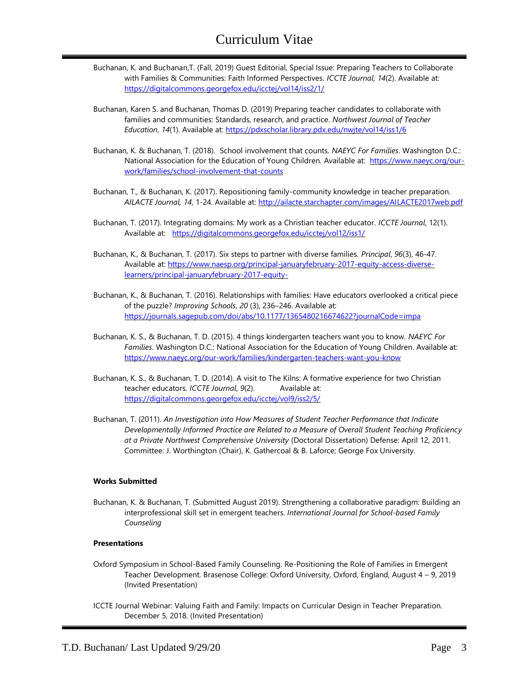- Buchanan, K. and Buchanan,T. (Fall, 2019) Guest Editorial, Special Issue: Preparing Teachers to Collaborate with Families & Communities: Faith Informed Perspectives. *ICCTE Journal*, *14*(2). Available at: <https://digitalcommons.georgefox.edu/icctej/vol14/iss2/1/>
- Buchanan, Karen S. and Buchanan, Thomas D. (2019) Preparing teacher candidates to collaborate with families and communities: Standards, research, and practice. *Northwest Journal of Teacher Education*, *14*(1). Available at: <https://pdxscholar.library.pdx.edu/nwjte/vol14/iss1/6>
- Buchanan, K. & Buchanan, T. (2018). School involvement that counts. *NAEYC For Families*. Washington D.C.: National Association for the Education of Young Children. Available at: [https://www.naeyc.org/our](https://www.naeyc.org/our-work/families/school-involvement-that-counts)[work/families/school-involvement-that-counts](https://www.naeyc.org/our-work/families/school-involvement-that-counts)
- Buchanan, T., & Buchanan, K. (2017). Repositioning family-community knowledge in teacher preparation. *AILACTE Journal, 14*, 1-24. Available at: <http://ailacte.starchapter.com/images/AILACTE2017web.pdf>
- Buchanan, T. (2017). Integrating domains: My work as a Christian teacher educator. *ICCTE Journal*, 12(1). Available at: <https://digitalcommons.georgefox.edu/icctej/vol12/iss1/>
- Buchanan, K., & Buchanan, T. (2017). Six steps to partner with diverse families. *Principal*, *96*(3), 46-47. Available at: [https://www.naesp.org/principal-januaryfebruary-2017-equity-access-diverse](https://www.naesp.org/principal-januaryfebruary-2017-equity-access-diverse-learners/principal-januaryfebruary-2017-equity-)[learners/principal-januaryfebruary-2017-equity-](https://www.naesp.org/principal-januaryfebruary-2017-equity-access-diverse-learners/principal-januaryfebruary-2017-equity-)
- Buchanan, K., & Buchanan, T. (2016). Relationships with families: Have educators overlooked a critical piece of the puzzle? *Improving Schools*, *20* (3), 236–246. Available at: <https://journals.sagepub.com/doi/abs/10.1177/1365480216674622?journalCode=impa>
- Buchanan, K. S., & Buchanan, T. D. (2015). 4 things kindergarten teachers want you to know. *NAEYC For Families*. Washington D.C.: National Association for the Education of Young Children. Available at: <https://www.naeyc.org/our-work/families/kindergarten-teachers-want-you-know>
- Buchanan, K. S., & Buchanan, T. D. (2014). A visit to The Kilns: A formative experience for two Christian teacher educators. *ICCTE Journal*, *9*(2). Available at: <https://digitalcommons.georgefox.edu/icctej/vol9/iss2/5/>
- Buchanan, T. (2011). *An Investigation into How Measures of Student Teacher Performance that Indicate Developmentally Informed Practice are Related to a Measure of Overall Student Teaching Proficiency at a Private Northwest Comprehensive University* (Doctoral Dissertation) Defense: April 12, 2011. Committee: J. Worthington (Chair), K. Gathercoal & B. Laforce; George Fox University.

# **Works Submitted**

Buchanan, K. & Buchanan, T. (Submitted August 2019). Strengthening a collaborative paradigm: Building an interprofessional skill set in emergent teachers. *International Journal for School-based Family Counseling*

#### **Presentations**

- Oxford Symposium in School-Based Family Counseling. Re-Positioning the Role of Families in Emergent Teacher Development. Brasenose College: Oxford University, Oxford, England, August 4 – 9, 2019 (Invited Presentation)
- ICCTE Journal Webinar: Valuing Faith and Family: Impacts on Curricular Design in Teacher Preparation. December 5, 2018. (Invited Presentation)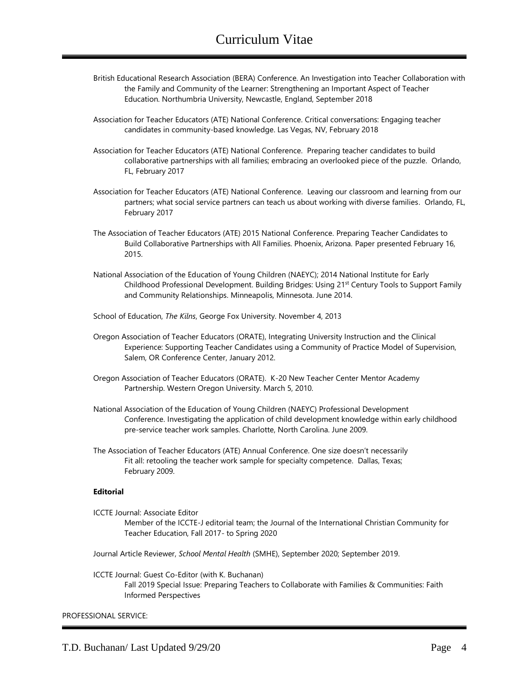- British Educational Research Association (BERA) Conference. An Investigation into Teacher Collaboration with the Family and Community of the Learner: Strengthening an Important Aspect of Teacher Education. Northumbria University, Newcastle, England, September 2018
- Association for Teacher Educators (ATE) National Conference. Critical conversations: Engaging teacher candidates in community-based knowledge. Las Vegas, NV, February 2018
- Association for Teacher Educators (ATE) National Conference. Preparing teacher candidates to build collaborative partnerships with all families; embracing an overlooked piece of the puzzle. Orlando, FL, February 2017
- Association for Teacher Educators (ATE) National Conference. Leaving our classroom and learning from our partners; what social service partners can teach us about working with diverse families. Orlando, FL, February 2017
- The Association of Teacher Educators (ATE) 2015 National Conference. Preparing Teacher Candidates to Build Collaborative Partnerships with All Families. Phoenix, Arizona. Paper presented February 16, 2015.
- National Association of the Education of Young Children (NAEYC); 2014 National Institute for Early Childhood Professional Development. Building Bridges: Using 21st Century Tools to Support Family and Community Relationships. Minneapolis, Minnesota. June 2014.
- School of Education, *The Kilns*, George Fox University. November 4, 2013
- Oregon Association of Teacher Educators (ORATE), Integrating University Instruction and the Clinical Experience: Supporting Teacher Candidates using a Community of Practice Model of Supervision, Salem, OR Conference Center, January 2012.
- Oregon Association of Teacher Educators (ORATE). K-20 New Teacher Center Mentor Academy Partnership. Western Oregon University. March 5, 2010.
- National Association of the Education of Young Children (NAEYC) Professional Development Conference. Investigating the application of child development knowledge within early childhood pre-service teacher work samples. Charlotte, North Carolina. June 2009.
- The Association of Teacher Educators (ATE) Annual Conference. One size doesn't necessarily Fit all: retooling the teacher work sample for specialty competence. Dallas, Texas; February 2009.

#### **Editorial**

- ICCTE Journal: Associate Editor
	- Member of the ICCTE-J editorial team; the Journal of the International Christian Community for Teacher Education, Fall 2017- to Spring 2020
- Journal Article Reviewer, *School Mental Health* (SMHE), September 2020; September 2019.

#### ICCTE Journal: Guest Co-Editor (with K. Buchanan)

Fall 2019 Special Issue: Preparing Teachers to Collaborate with Families & Communities: Faith Informed Perspectives

#### PROFESSIONAL SERVICE: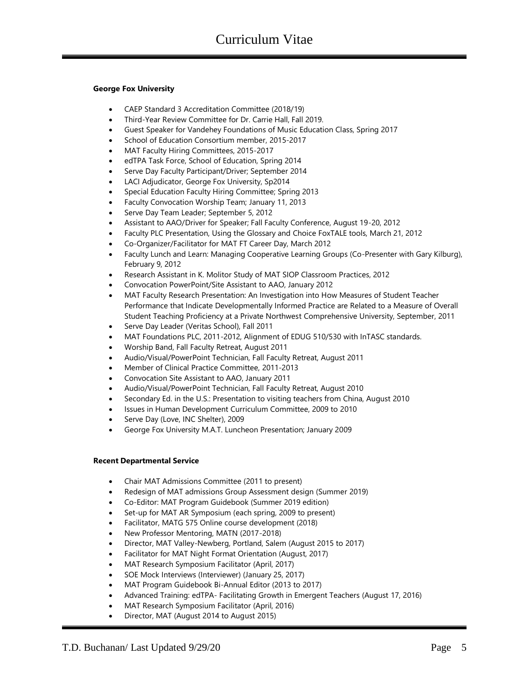# **George Fox University**

- CAEP Standard 3 Accreditation Committee (2018/19)
- Third-Year Review Committee for Dr. Carrie Hall, Fall 2019.
- Guest Speaker for Vandehey Foundations of Music Education Class, Spring 2017
- School of Education Consortium member, 2015-2017
- MAT Faculty Hiring Committees, 2015-2017
- edTPA Task Force, School of Education, Spring 2014
- Serve Day Faculty Participant/Driver; September 2014
- LACI Adjudicator, George Fox University, Sp2014
- Special Education Faculty Hiring Committee; Spring 2013
- Faculty Convocation Worship Team; January 11, 2013
- Serve Day Team Leader; September 5, 2012
- Assistant to AAO/Driver for Speaker; Fall Faculty Conference, August 19-20, 2012
- Faculty PLC Presentation, Using the Glossary and Choice FoxTALE tools, March 21, 2012
- Co-Organizer/Facilitator for MAT FT Career Day, March 2012
- Faculty Lunch and Learn: Managing Cooperative Learning Groups (Co-Presenter with Gary Kilburg), February 9, 2012
- Research Assistant in K. Molitor Study of MAT SIOP Classroom Practices, 2012
- Convocation PowerPoint/Site Assistant to AAO, January 2012
- MAT Faculty Research Presentation: An Investigation into How Measures of Student Teacher Performance that Indicate Developmentally Informed Practice are Related to a Measure of Overall Student Teaching Proficiency at a Private Northwest Comprehensive University, September, 2011
- Serve Day Leader (Veritas School), Fall 2011
- MAT Foundations PLC, 2011-2012, Alignment of EDUG 510/530 with InTASC standards.
- Worship Band, Fall Faculty Retreat, August 2011
- Audio/Visual/PowerPoint Technician, Fall Faculty Retreat, August 2011
- Member of Clinical Practice Committee, 2011-2013
- Convocation Site Assistant to AAO, January 2011
- Audio/Visual/PowerPoint Technician, Fall Faculty Retreat, August 2010
- Secondary Ed. in the U.S.: Presentation to visiting teachers from China, August 2010
- Issues in Human Development Curriculum Committee, 2009 to 2010
- Serve Day (Love, INC Shelter), 2009
- George Fox University M.A.T. Luncheon Presentation; January 2009

# **Recent Departmental Service**

- Chair MAT Admissions Committee (2011 to present)
- Redesign of MAT admissions Group Assessment design (Summer 2019)
- Co-Editor: MAT Program Guidebook (Summer 2019 edition)
- Set-up for MAT AR Symposium (each spring, 2009 to present)
- Facilitator, MATG 575 Online course development (2018)
- New Professor Mentoring, MATN (2017-2018)
- Director, MAT Valley-Newberg, Portland, Salem (August 2015 to 2017)
- Facilitator for MAT Night Format Orientation (August, 2017)
- MAT Research Symposium Facilitator (April, 2017)
- SOE Mock Interviews (Interviewer) (January 25, 2017)
- MAT Program Guidebook Bi-Annual Editor (2013 to 2017)
- Advanced Training: edTPA- Facilitating Growth in Emergent Teachers (August 17, 2016)
- MAT Research Symposium Facilitator (April, 2016)
- Director, MAT (August 2014 to August 2015)